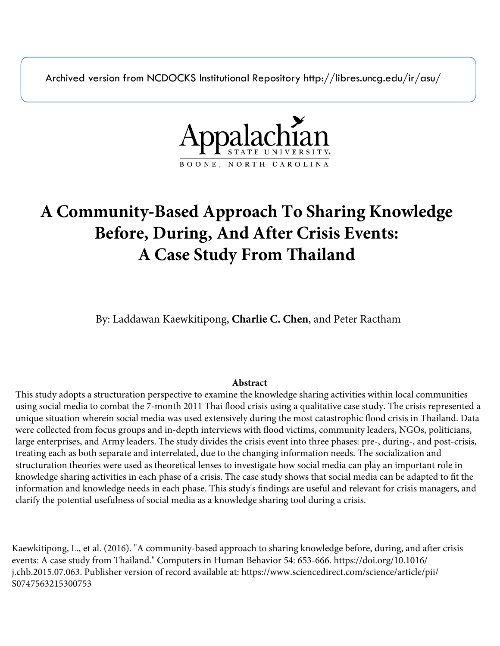Archived version from NCDOCKS Institutional Repository http://libres.uncg.edu/ir/asu/



# **A Community-Based Approach To Sharing Knowledge Before, During, And After Crisis Events: A Case Study From Thailand**

By: Laddawan Kaewkitipong, **Charlie C. Chen**, and Peter Ractham

# **Abstract**

This study adopts a structuration perspective to examine the knowledge sharing activities within local communities using social media to combat the 7-month 2011 Thai flood crisis using a qualitative case study. The crisis represented a unique situation wherein social media was used extensively during the most catastrophic flood crisis in Thailand. Data were collected from focus groups and in-depth interviews with flood victims, community leaders, NGOs, politicians, large enterprises, and Army leaders. The study divides the crisis event into three phases: pre-, during-, and post-crisis, treating each as both separate and interrelated, due to the changing information needs. The socialization and structuration theories were used as theoretical lenses to investigate how social media can play an important role in knowledge sharing activities in each phase of a crisis. The case study shows that social media can be adapted to fit the information and knowledge needs in each phase. This study's findings are useful and relevant for crisis managers, and clarify the potential usefulness of social media as a knowledge sharing tool during a crisis.

Kaewkitipong, L., et al. (2016). "A community-based approach to sharing knowledge before, during, and after crisis events: A case study from Thailand." Computers in Human Behavior 54: 653-666. https://doi.org/10.1016/ j.chb.2015.07.063. Publisher version of record available at: https://www.sciencedirect.com/science/article/pii/ S0747563215300753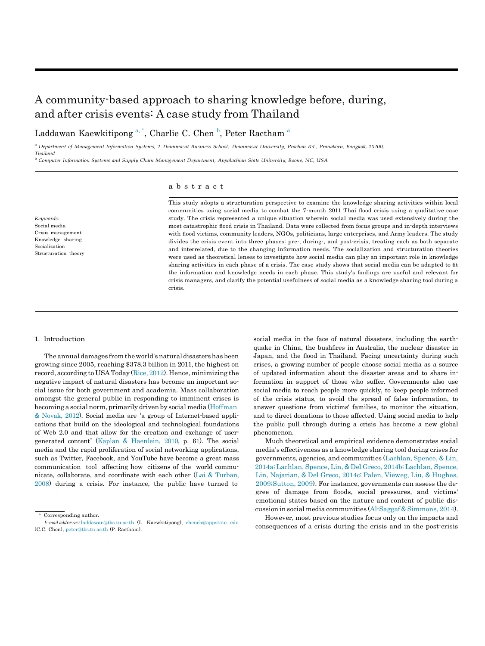# A community-based approach to sharing knowledge before, during, and after crisis events: A case study from Thailand

Laddawan Kaewkitipong <sup>[a,](#page-1-0) [\\*](#page-1-1)</sup>, Charlie C. Chen <sup>[b](#page-1-2)</sup>, Peter R[a](#page-1-0)ctham <sup>a</sup>

<span id="page-1-0"></span><sup>a</sup>*Department of Management Information Systems, 2 Thammasat Business School, Thammasat University, Prachan Rd., Pranakorn, Bangkok, 10200, Thailand*

<span id="page-1-2"></span><sup>b</sup>*Computer Information Systems and Supply Chain Management Department, Appalachian State University, Boone, NC, USA*

# a b s t r a c t

*Keywords:* Social media Crisis management Knowledge sharing Socialization Structuration theory This study adopts a structuration perspective to examine the knowledge sharing activities within local communities using social media to combat the 7-month 2011 Thai flood crisis using a qualitative case study. The crisis represented a unique situation wherein social media was used extensively during the most catastrophic flood crisis in Thailand. Data were collected from focus groups and in-depth interviews with flood victims, community leaders, NGOs, politicians, large enterprises, and Army leaders. The study divides the crisis event into three phases: pre-, during-, and post-crisis, treating each as both separate and interrelated, due to the changing information needs. The socialization and structuration theories were used as theoretical lenses to investigate how social media can play an important role in knowledge sharing activities in each phase of a crisis. The case study shows that social media can be adapted to fit the information and knowledge needs in each phase. This study's findings are useful and relevant for crisis managers, and clarify the potential usefulness of social media as a knowledge sharing tool during a crisis.

#### 1. Introduction

The annual damages from the world's natural disasters has been growing since 2005, reaching \$378.3 billion in 2011, the highest on record, according to USA Today [\(Rice,](#page-15-0) 2012). Hence, minimizing the negative impact of natural disasters has become an important social issue for both government and academia. Mass collaboration amongst the general public in responding to imminent crises is becoming a social norm, primarily driven by social media [\(Hoffman](#page-14-0) & [Novak,](#page-14-0) 2012). Social media are 'a group of Internet-based applications that build on the ideological and technological foundations of Web 2.0 and that allow for the creation and exchange of usergenerated content' [\(Kaplan](#page-15-1) & [Haenlein,](#page-15-1) 2010, p. 61). The social media and the rapid proliferation of social networking applications, such as Twitter, Facebook, and YouTube have become a great mass communication tool affecting how citizens of the world communicate, collaborate, and coordinate with each other [\(Lai](#page-15-2) & [Turban,](#page-15-2) [2008\)](#page-15-2) during a crisis. For instance, the public have turned to

Corresponding author.

social media in the face of natural disasters, including the earthquake in China, the bushfires in Australia, the nuclear disaster in Japan, and the flood in Thailand. Facing uncertainty during such crises, a growing number of people choose social media as a source of updated information about the disaster areas and to share information in support of those who suffer. Governments also use social media to reach people more quickly, to keep people informed of the crisis status, to avoid the spread of false information, to answer questions from victims' families, to monitor the situation, and to direct donations to those affected. Using social media to help the public pull through during a crisis has become a new global phenomenon.

Much theoretical and empirical evidence demonstrates social media's effectiveness as a knowledge sharing tool during crises for governments, agencies, and communities [\(Lachlan,](#page-15-3) Spence, & [Lin,](#page-15-3) 2014a; [Lachlan,](#page-15-3) Spence, Lin, & Del Greco, 2014b; [Lachlan,](#page-15-3) Spence, Lin, [Najarian,](#page-15-3) & Del Greco, 2014c; [Palen, Vieweg,](#page-15-3) Liu, & [Hughes,](#page-15-3) [2009;Sutton,](#page-15-3) 2009). For instance, governments can assess the degree of damage from floods, social pressures, and victims' emotional states based on the nature and content of public discussion in social media communities [\(Al-Saggaf](#page-14-1)& [Simmons,](#page-14-1) 2014).

However, most previous studies focus only on the impacts and consequences of a crisis during the crisis and in the post-crisis

<span id="page-1-1"></span>*E-mail addresses:* [laddawan@tbs.tu.ac.th](mailto:laddawan@tbs.tu.ac.th) (L. Kaewkitipong), [chench@appstate.](mailto:chench@appstate.edu) [edu](mailto:chench@appstate.edu) (C.C. Chen), [peter@tbs.tu.ac.th](mailto:peter@tbs.tu.ac.th) (P. Ractham).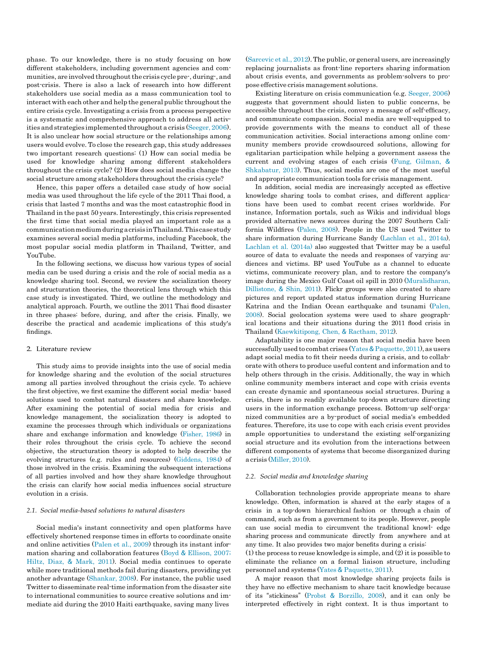phase. To our knowledge, there is no study focusing on how different stakeholders, including government agencies and communities, are involved throughoutthe crisis cycle pre-, during-, and post-crisis. There is also a lack of research into how different stakeholders use social media as a mass communication tool to interact with each other and help the general public throughout the entire crisis cycle. Investigating a crisis from a process perspective is a systematic and comprehensive approach to address all activities and strategies implemented throughout a crisis [\(Seeger,](#page-15-4) 2006). It is also unclear how social structure or the relationships among users would evolve. To close the research gap, this study addresses two important research questions: (1) How can social media be used for knowledge sharing among different stakeholders throughout the crisis cycle? (2) How does social media change the social structure among stakeholders throughout the crisis cycle?

Hence, this paper offers a detailed case study of how social media was used throughout the life cycle of the 2011 Thai flood, a crisis that lasted 7 months and was the most catastrophic flood in Thailand in the past 50 years. Interestingly, this crisis represented the first time that social media played an important role as a communicationmediumduring a crisisinThailand.Thiscase study examines several social media platforms, including Facebook, the most popular social media platform in Thailand, Twitter, and YouTube.

In the following sections, we discuss how various types of social media can be used during a crisis and the role of social media as a knowledge sharing tool. Second, we review the socialization theory and structuration theories, the theoretical lens through which this case study is investigated. Third, we outline the methodology and analytical approach. Fourth, we outline the 2011 Thai flood disaster in three phases: before, during, and after the crisis. Finally, we describe the practical and academic implications of this study's findings.

# 2. Literature review

This study aims to provide insights into the use of social media for knowledge sharing and the evolution of the social structures among all parties involved throughout the crisis cycle. To achieve the first objective, we first examine the different social media- based solutions used to combat natural disasters and share knowledge. After examining the potential of social media for crisis and knowledge management, the socialization theory is adopted to examine the processes through which individuals or organizations share and exchange information and knowledge [\(Fisher,](#page-14-2) 1986) in their roles throughout the crisis cycle. To achieve the second objective, the structuration theory is adopted to help describe the evolving structures (e.g. rules and resources) [\(Giddens,](#page-14-3) 1984) of those involved in the crisis. Examining the subsequent interactions of all parties involved and how they share knowledge throughout the crisis can clarify how social media influences social structure evolution in a crisis.

# *2.1. Social media-based solutions to natural disasters*

Social media's instant connectivity and open platforms have effectively shortened response times in efforts to coordinate onsite and online activities [\(Palen](#page-15-5) et al., 2009) through its instant information sharing and collaboration features [\(Boyd](#page-14-4) & [Ellison,](#page-14-4) 2007; [Hiltz,](#page-14-4) Diaz, & [Mark,](#page-14-4) 2011). Social media continues to operate while more traditional methods fail during disasters, providing yet another advantage [\(Shankar,](#page-15-6) 2008). For instance, the public used Twitter to disseminate real-time information from the disaster site to international communities to source creative solutions and immediate aid during the 2010 Haiti earthquake, saving many lives

[\(Sarcevic](#page-15-7) et al., 2012).The public, or general users, are increasingly replacing journalists as front-line reporters sharing information about crisis events, and governments as problem-solvers to propose effective crisis management solutions.

Existing literature on crisis communication (e.g. [Seeger,](#page-15-4) 2006) suggests that government should listen to public concerns, be accessible throughout the crisis, convey a message of self-efficacy, and communicate compassion. Social media are well-equipped to provide governments with the means to conduct all of these communication activities. Social interactions among online community members provide crowdsourced solutions, allowing for egalitarian participation while helping a government assess the current and evolving stages of each crisis (Fung, [Gilman,](#page-14-5) & [Shkabatur,](#page-14-5) 2013). Thus, social media are one of the most useful and appropriate communication tools for crisis management.

In addition, social media are increasingly accepted as effective knowledge sharing tools to combat crises, and different applications have been used to combat recent crises worldwide. For instance, Information portals, such as Wikis and individual blogs provided alternative news sources during the 2007 Southern California Wildfires [\(Palen,](#page-15-8) 2008). People in the US used Twitter to share information during Hurricane Sandy [\(Lachlan](#page-15-3) et al., 2014a). [Lachlan](#page-15-3) et al. (2014a) also suggested that Twitter may be a useful source of data to evaluate the needs and responses of varying audiences and victims. BP used YouTube as a channel to educate victims, communicate recovery plan, and to restore the company's image during the Mexico Gulf Coast oil spill in 2010 [\(Muralidharan,](#page-15-9) [Dillistone,](#page-15-9) & [Shin,](#page-15-9) 2011). Flickr groups were also created to share pictures and report updated status information during Hurricane Katrina and the Indian Ocean earthquake and tsunami [\(Palen,](#page-15-8) [2008\)](#page-15-8). Social geolocation systems were used to share geographical locations and their situations during the 2011 flood crisis in Thailand [\(Kaewkitipong,](#page-15-10) Chen, & [Ractham,](#page-15-10) 2012).

Adaptability is one major reason that social media have been successfully used to combat crises [\(Yates](#page-15-11) & [Paquette,](#page-15-11) 2011), as users adapt social media to fit their needs during a crisis, and to collaborate with others to produce useful content and information and to help others through in the crisis. Additionally, the way in which online community members interact and cope with crisis events can create dynamic and spontaneous social structures. During a crisis, there is no readily available top-down structure directing users in the information exchange process. Bottom-up self-organized communities are a by-product of social media's embedded features. Therefore, its use to cope with each crisis event provides ample opportunities to understand the existing self-organizing social structure and its evolution from the interactions between different components of systems that become disorganized during a crisis [\(Miller,](#page-15-12) 2010).

### *2.2. Social media and knowledge sharing*

Collaboration technologies provide appropriate means to share knowledge. Often, information is shared at the early stages of a crisis in a top-down hierarchical fashion or through a chain of command, such as from a government to its people. However, people can use social media to circumvent the traditional knowl- edge sharing process and communicate directly from anywhere and at any time. It also provides two major benefits during a crisis:

(1) the process to reuse knowledge is simple, and (2) it is possible to eliminate the reliance on a formal liaison structure, including personnel and systems [\(Yates](#page-15-11) & [Paquette,](#page-15-11) 2011).

A major reason that most knowledge sharing projects fails is they have no effective mechanism to share tacit knowledge because of its "stickiness" [\(Probst](#page-15-13) & [Borzillo, 2008\)](#page-15-13), and it can only be interpreted effectively in right context. It is thus important to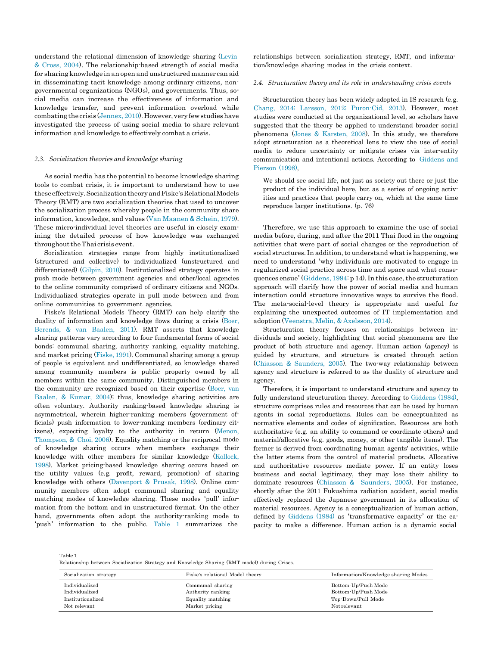understand the relational dimension of knowledge sharing [\(Levin](#page-15-14) & [Cross,](#page-15-14) 2004). The relationship-based strength of social media for sharing knowledge in an open and unstructured manner can aid in disseminating tacit knowledge among ordinary citizens, nongovernmental organizations (NGOs), and governments. Thus, social media can increase the effectiveness of information and knowledge transfer, and prevent information overload while combating the crisis  $(Jennex, 2010)$ . However, very few studies have investigated the process of using social media to share relevant information and knowledge to effectively combat a crisis.

# *2.3. Socialization theories and knowledge sharing*

As social media has the potential to become knowledge sharing tools to combat crisis, it is important to understand how to use theseeffectively. SocializationtheoryandFiske'sRelationalModels Theory (RMT) are two socialization theories that used to uncover the socialization process whereby people in the community share information, knowledge, and values (Van [Maanen](#page-15-16) & [Schein,](#page-15-16) 1979). These micro-individual level theories are useful in closely examining the detailed process of how knowledge was exchanged throughout the Thai crisis event.

Socialization strategies range from highly institutionalized (structured and collective) to individualized (unstructured and differentiated) [\(Gilpin,](#page-14-6) 2010). Institutionalized strategy operates in push mode between government agencies and other/local agencies to the online community comprised of ordinary citizens and NGOs. Individualized strategies operate in pull mode between and from online communities to government agencies.

Fiske's Relational Models Theory (RMT) can help clarify the duality of information and knowledge flows during a crisis [\(Boer,](#page-14-7) [Berends,](#page-14-7) & [van Baalen,](#page-14-7) 2011). RMT asserts that knowledge sharing patterns vary according to four fundamental forms of social bonds: communal sharing, authority ranking, equality matching, and market pricing [\(Fiske,](#page-14-8) 1991). Communal sharing among a group of people is equivalent and undifferentiated, so knowledge shared among community members is public property owned by all members within the same community. Distinguished members in the community are recognized based on their expertise [\(Boer, van](#page-14-9) [Baalen,](#page-14-9) & [Kumar, 2004\)](#page-14-9); thus, knowledge sharing activities are often voluntary. Authority ranking-based knowledge sharing is asymmetrical, wherein higher-ranking members (government officials) push information to lower-ranking members (ordinary citizens), expecting loyalty to the authority in return [\(Menon,](#page-15-17) [Thompson,](#page-15-17) & Choi, [2006\)](#page-15-17). Equality matching or the reciprocal mode of knowledge sharing occurs when members exchange their knowledge with other members for similar knowledge [\(Kollock,](#page-15-18) [1998\)](#page-15-18). Market pricing-based knowledge sharing occurs based on the utility values (e.g. profit, reward, promotion) of sharing knowledge with others [\(Davenport](#page-14-10) & [Prusak,](#page-14-10) 1998). Online community members often adopt communal sharing and equality matching modes of knowledge sharing. These modes 'pull' information from the bottom and in unstructured format. On the other hand, governments often adopt the authority-ranking mode to 'push' information to the public. [Table 1](#page-3-0) summarizes the relationships between socialization strategy, RMT, and information/knowledge sharing modes in the crisis context.

### *2.4. Structuration theory and its role in understanding crisis events*

Structuration theory has been widely adopted in IS research (e.g. Chang, 2014; Larsson, 2012; [Puron-Cid,](#page-14-11) 2013). However, most studies were conducted at the organizational level, so scholars have suggested that the theory be applied to understand broader social phenomena [\(Jones](#page-15-19) & [Karsten,](#page-15-19) 2008). In this study, we therefore adopt structuration as a theoretical lens to view the use of social media to reduce uncertainty or mitigate crises via inter-entity communication and intentional actions. According to [Giddens](#page-14-12) [and](#page-14-12) [Pierson](#page-14-12) (1998)

We should see social life, not just as society out there or just the product of the individual here, but as a series of ongoing activities and practices that people carry on, which at the same time reproduce larger institutions. (p. 76)

Therefore, we use this approach to examine the use of social media before, during, and after the 2011 Thai flood in the ongoing activities that were part of social changes or the reproduction of social structures. In addition, to understand what is happening, we need to understand 'why individuals are motivated to engage in regularized social practice across time and space and what consequences ensue' (Giddens, 1994: p 14). In this case, the structuration approach will clarify how the power of social media and human interaction could structure innovative ways to survive the flood. The meta-social-level theory is appropriate and useful for explaining the unexpected outcomes of IT implementation and adoption [\(Veenstra,](#page-15-20) Melin, & [Axelsson,](#page-15-20) 2014).

Structuration theory focuses on relationships between individuals and society, highlighting that social phenomena are the product of both structure and agency. Human action (agency) is guided by structure, and structure is created through action [\(Chiasson](#page-14-14) & [Saunders,](#page-14-14) 2005). The two-way relationship between agency and structure is referred to as the duality of structure and agency.

Therefore, it is important to understand structure and agency to fully understand structuration theory. According to [Giddens](#page-14-3) (1984), structure comprises rules and resources that can be used by human agents in social reproductions. Rules can be conceptualized as normative elements and codes of signification. Resources are both authoritative (e.g. an ability to command or coordinate others) and material/allocative (e.g. goods, money, or other tangible items). The former is derived from coordinating human agents' activities, while the latter stems from the control of material products. Allocative and authoritative resources mediate power. If an entity loses business and social legitimacy, they may lose their ability to dominate resources [\(Chiasson](#page-14-14) & [Saunders,](#page-14-14) 2005). For instance, shortly after the 2011 Fukushima radiation accident, social media effectively replaced the Japanese government in its allocation of material resources. Agency is a conceptualization of human action, defined by [Giddens](#page-14-3) (1984) as 'transformative capacity' or the capacity to make a difference. Human action is a dynamic social

<span id="page-3-0"></span>Table 1 Relationship between Socialization Strategy and Knowledge Sharing (RMT model) during Crises.

| Socialization strategy | Fiske's relational Model theory | Information/Knowledge sharing Modes |
|------------------------|---------------------------------|-------------------------------------|
| Individualized         | Communal sharing                | Bottom-Up/Push Mode                 |
| Individualized         | Authority ranking               | Bottom-Up/Push Mode                 |
| Institutionalized      | Equality matching               | Top-Down/Pull Mode                  |
| Not relevant           | Market pricing                  | Notrelevant                         |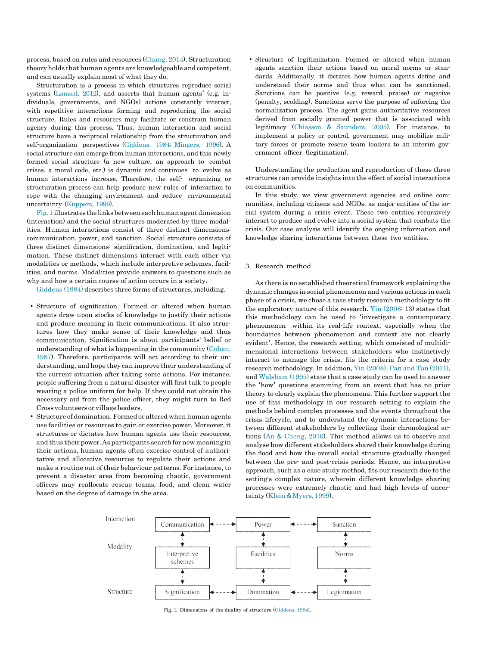process, based on rules and resources [\(Chang,](#page-14-11) 2014). Structuration theory holds that human agents are knowledgeable and competent, and can usually explain most of what they do.

Structuration is a process in which structures reproduce social systems [\(Lamsal,](#page-15-21) 2012), and asserts that human agents' (e.g. individuals, governments, and NGOs) actions constantly interact, with repetitive interactions forming and reproducing the social structure. Rules and resources may facilitate or constrain human agency during this process. Thus, human interaction and social structure have a reciprocal relationship from the structuration and self-organization perspectives [\(Giddens,](#page-14-3) 1984; Mingers, 1996). A social structure can emerge from human interactions, and this newly formed social structure (a new culture, an approach to combat crises, a moral code, etc.) is dynamic and continues to evolve as human interactions increase. Therefore, the self- organizing or structuration process can help produce new rules of interaction to cope with the changing environment and reduce environmental uncertainty [\(Küppers,](#page-15-22) 1999).

[Fig. 1i](#page-4-0)llustrates the links betweeneachhuman agent dimension (interaction) and the social structures moderated by three modalities. Human interactions consist of three distinct dimensions: communication, power, and sanction. Social structure consists of three distinct dimensions: signification, domination, and legitimation. These distinct dimensions interact with each other via modalities or methods, which include interpretive schemes, facilities, and norms. Modalities provide answers to questions such as why and how a certain course of action occurs in a society.

[Giddens](#page-14-3) (1984) describes three forms of structures, including.

- Structure of signification. Formed or altered when human agents draw upon stocks of knowledge to justify their actions and produce meaning in their communications. It also structures how they make sense of their knowledge and thus communication. Signification is about participants' belief or understanding of what is happening in the community [\(Cohen,](#page-14-15) [1987\)](#page-14-15). Therefore, participants will act according to their understanding, and hope they can improve their understanding of the current situation after taking some actions. For instance, people suffering from a natural disaster will first talk to people wearing a police uniform for help. If they could not obtain the necessary aid from the police officer, they might turn to Red Cross volunteers or village leaders.
- <span id="page-4-0"></span>• Structure of domination.Formed or altered when human agents use facilities or resources to gain or exercise power. Moreover, it structures or dictates how human agents use their resources, and thus their power.As participants search for new meaning in their actions, human agents often exercise control of authoritative and allocative resources to regulate their actions and make a routine out of their behaviour patterns. For instance, to prevent a disaster area from becoming chaotic, government officers may reallocate rescue teams, food, and clean water based on the degree of damage in the area.

• Structure of legitimization. Formed or altered when human agents sanction their actions based on moral norms or standards. Additionally, it dictates how human agents define and understand their norms and thus what can be sanctioned. Sanctions can be positive (e.g. reward, praise) or negative (penalty, scolding). Sanctions serve the purpose of enforcing the normalization process. The agent gains authoritative resources derived from socially granted power that is associated with legitimacy [\(Chiasson](#page-14-14) & [Saunders,](#page-14-14) 2005). For instance, to implement a policy or control, government may mobilize military forces or promote rescue team leaders to an interim government officer (legitimation).

Understanding the production and reproduction of these three structures can provide insights into the effect of social interactions on communities.

In this study, we view government agencies and online communities, including citizens and NGOs, as major entities of the social system during a crisis event. These two entities recursively interact to produce and evolve into a social system that combats the crisis. Our case analysis will identify the ongoing information and knowledge sharing interactions between these two entities.

#### 3. Research method

As there is no established theoretical framework explaining the dynamic changes in social phenomenon and various actions in each phase of a crisis, we chose a case study research methodology to fit the exploratory nature of this research. Yin [\(2008:](#page-15-23) 13) states that this methodology can be used to 'investigate a contemporary phenomenon within its real-life context, especially when the boundaries between phenomenon and context are not clearly evident'. Hence, the research setting, which consisted of multidimensional interactions between stakeholders who instinctively interact to manage the crisis, fits the criteria for a case study research methodology. In addition, Yin [\(2008\),](#page-15-23) Pan and Tan (2011), and [Walsham](#page-15-24) (1995) state that a case study can be used to answer the 'how' questions stemming from an event that has no prior theory to clearly explain the phenomena. This further support the use of this methodology in our research setting to explain the methods behind complex processes and the events throughout the crisis lifecycle, and to understand the dynamic interactions between different stakeholders by collecting their chronological actions [\(An](#page-14-16) & [Cheng,](#page-14-16) 2010). This method allows us to observe and analyse how different stakeholders shared their knowledge during the flood and how the overall social structure gradually changed between the pre- and post-crisis periods. Hence, an interpretive approach, such as a case study method, fits our research due to the setting's complex nature, wherein different knowledge sharing processes were extremely chaotic and had high levels of uncertainty [\(Klein](#page-15-25) & [Myers,](#page-15-25) 1999).



Fig. 1. Dimensions of the duality of structure [\(Giddens,](#page-14-3) 1984).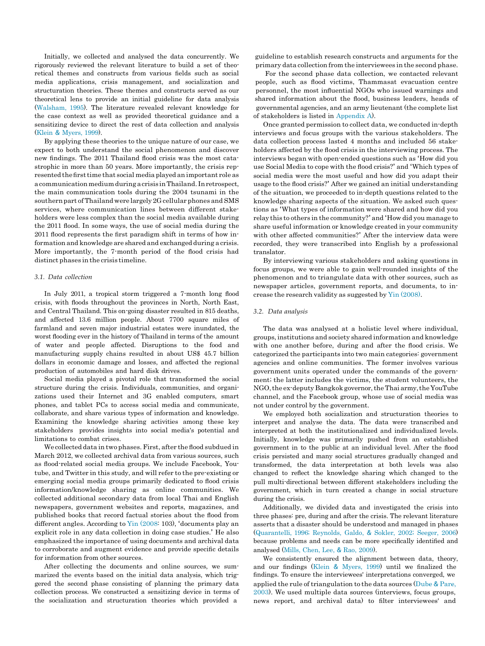Initially, we collected and analysed the data concurrently. We rigorously reviewed the relevant literature to build a set of theoretical themes and constructs from various fields such as social media applications, crisis management, and socialization and structuration theories. These themes and constructs served as our theoretical lens to provide an initial guideline for data analysis [\(Walsham,](#page-15-24) 1995). The literature revealed relevant knowledge for the case context as well as provided theoretical guidance and a sensitizing device to direct the rest of data collection and analysis [\(Klein](#page-15-25) & [Myers,](#page-15-25) 1999).

By applying these theories to the unique nature of our case, we expect to both understand the social phenomenon and discover new findings. The 2011 Thailand flood crisis was the most catastrophic in more than 50 years. More importantly, the crisis represented thefirsttime that social media played an important role as a communication medium during a crisis in Thailand. In retrospect, the main communication tools during the 2004 tsunami in the southern part of Thailand were largely 2G cellular phones and SMS services, where communication lines between different stakeholders were less complex than the social media available during the 2011 flood. In some ways, the use of social media during the 2011 flood represents the first paradigm shift in terms of how information and knowledge are shared and exchanged during a crisis. More importantly, the 7-month period of the flood crisis had distinct phases in the crisis timeline.

#### *3.1. Data collection*

In July 2011, a tropical storm triggered a 7-month long flood crisis, with floods throughout the provinces in North, North East, and Central Thailand. This on-going disaster resulted in 815 deaths, and affected 13.6 million people. About 7700 square miles of farmland and seven major industrial estates were inundated, the worst flooding ever in the history of Thailand in terms of the amount of water and people affected. Disruptions to the food and manufacturing supply chains resulted in about US\$ 45.7 billion dollars in economic damage and losses, and affected the regional production of automobiles and hard disk drives.

Social media played a pivotal role that transformed the social structure during the crisis. Individuals, communities, and organizations used their Internet and 3G enabled computers, smart phones, and tablet PCs to access social media and communicate, collaborate, and share various types of information and knowledge. Examining the knowledge sharing activities among these key stakeholders provides insights into social media's potential and limitations to combat crises.

We collected data in two phases. First, after the flood subdued in March 2012, we collected archival data from various sources, such as flood-related social media groups. We include Facebook, Youtube, and Twitter in this study, and will refer to the pre-existing or emerging social media groups primarily dedicated to flood crisis information/knowledge sharing as online communities. We collected additional secondary data from local Thai and English newspapers, government websites and reports, magazines, and published books that record factual stories about the flood from different angles. According to Yin [\(2008:](#page-15-23) 103), 'documents play an explicit role in any data collection in doing case studies.' He also emphasized the importance of using documents and archival data to corroborate and augment evidence and provide specific details for information from other sources.

After collecting the documents and online sources, we summarized the events based on the initial data analysis, which triggered the second phase consisting of planning the primary data collection process. We constructed a sensitizing device in terms of the socialization and structuration theories which provided a

guideline to establish research constructs and arguments for the primary data collection from the interviewees in the second phase.

For the second phase data collection, we contacted relevant people, such as flood victims, Thammasat evacuation centre personnel, the most influential NGOs who issued warnings and shared information about the flood, business leaders, heads of governmental agencies, and an army lieutenant (the complete list of stakeholders is listed in [Appendix A\)](#page-14-17).

Once granted permission to collect data, we conducted in-depth interviews and focus groups with the various stakeholders. The data collection process lasted 4 months and included 56 stakeholders affected by the flood crisis in the interviewing process. The interviews began with open-ended questions such as 'How did you use Social Media to cope with the flood crisis?' and 'Which types of social media were the most useful and how did you adapt their usage to the flood crisis?' After we gained an initial understanding of the situation, we proceeded to in-depth questions related to the knowledge sharing aspects of the situation. We asked such questions as 'What types of information were shared and how did you relay this to others in the community?' and 'How did you manage to share useful information or knowledge created in your community with other affected communities?' After the interview data were recorded, they were transcribed into English by a professional translator.

By interviewing various stakeholders and asking questions in focus groups, we were able to gain well-rounded insights of the phenomenon and to triangulate data with other sources, such as newspaper articles, government reports, and documents, to increase the research validity as suggested by Yin [\(2008\).](#page-15-23)

### *3.2. Data analysis*

The data was analysed at a holistic level where individual, groups,institutions and society shared information and knowledge with one another before, during and after the flood crisis. We categorized the participants into two main categories: government agencies and online communities. The former involves various government units operated under the commands of the government; the latter includes the victims, the student volunteers, the NGO,the ex-deputy Bangkokgovernor,theThai army, theYouTube channel, and the Facebook group, whose use of social media was not under control by the government.

We employed both socialization and structuration theories to interpret and analyse the data. The data were transcribed and interpreted at both the institutionalized and individualized levels. Initially, knowledge was primarily pushed from an established government in to the public at an individual level. After the flood crisis persisted and many social structures gradually changed and transformed, the data interpretation at both levels was also changed to reflect the knowledge sharing which changed to the pull multi-directional between different stakeholders including the government, which in turn created a change in social structure during the crisis.

Additionally, we divided data and investigated the crisis into three phases: pre, during and after the crisis. The relevant literature asserts that a disaster should be understood and managed in phases (Quarantelli, [1996; Reynolds,](#page-15-26) Galdo, & Sokler, 2002; [Seeger, 2006\)](#page-15-26) because problems and needs can be more specifically identified and analysed [\(Mills,](#page-15-27) Chen, Lee, & Rao, [2009\)](#page-15-27).

We consistently ensured the alignment between data, theory, and our findings [\(Klein](#page-15-25) & [Myers,](#page-15-25) 1999) until we finalized the findings. To ensure the interviewees' interpretations converged, we applied the rule of triangulation to the data sources [\(Dube](#page-14-18) & [Pare](#page-14-18), [2003\)](#page-14-18). We used multiple data sources (interviews, focus groups, news report, and archival data) to filter interviewees' and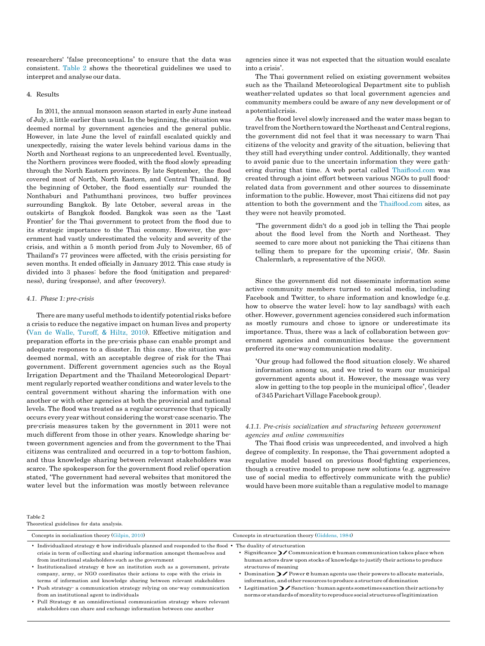researchers' 'false preconceptions' to ensure that the data was consistent. [Table 2](#page-6-0) shows the theoretical guidelines we used to interpret and analyse our data.

#### 4. Results

In 2011, the annual monsoon season started in early June instead of July, a little earlier than usual. In the beginning, the situation was deemed normal by government agencies and the general public. However, in late June the level of rainfall escalated quickly and unexpectedly, raising the water levels behind various dams in the North and Northeast regions to an unprecedented level. Eventually, the Northern provinces were flooded, with the flood slowly spreading through the North Eastern provinces. By late September, the flood covered most of North, North Eastern, and Central Thailand. By the beginning of October, the flood essentially sur- rounded the Nonthaburi and Pathumthani provinces, two buffer provinces surrounding Bangkok. By late October, several areas in the outskirts of Bangkok flooded. Bangkok was seen as the 'Last Frontier' for the Thai government to protect from the flood due to its strategic importance to the Thai economy. However, the government had vastly underestimated the velocity and severity of the crisis, and within a 5 month period from July to November, 65 of Thailand's 77 provinces were affected, with the crisis persisting for seven months. It ended officially in January 2012. This case study is divided into 3 phases: before the flood (mitigation and preparedness), during (response), and after (recovery).

#### *4.1. Phase 1: pre-crisis*

There are many useful methods to identify potential risks before a crisis to reduce the negative impact on human lives and property (Van [de Walle,](#page-15-28) Turoff, & [Hiltz,](#page-15-28) 2010). Effective mitigation and preparation efforts in the pre-crisis phase can enable prompt and adequate responses to a disaster. In this case, the situation was deemed normal, with an acceptable degree of risk for the Thai government. Different government agencies such as the Royal Irrigation Department and the Thailand Meteorological Department regularly reported weather conditions and water levels to the central government without sharing the information with one another or with other agencies at both the provincial and national levels. The flood was treated as a regular occurrence that typically occurs every year without considering the worst-case scenario. The pre-crisis measures taken by the government in 2011 were not much different from those in other years. Knowledge sharing between government agencies and from the government to the Thai citizens was centralized and occurred in a top-to-bottom fashion, and thus knowledge sharing between relevant stakeholders was scarce. The spokesperson for the government flood relief operation stated, 'The government had several websites that monitored the water level but the information was mostly between relevance

agencies since it was not expected that the situation would escalate into a crisis'.

The Thai government relied on existing government websites such as the Thailand Meteorological Department site to publish weather-related updates so that local government agencies and community members could be aware of any new development or of a potentialcrisis.

As the flood level slowly increased and the water mass began to travel from the Northerntowardthe Northeast and Central regions, the government did not feel that it was necessary to warn Thai citizens of the velocity and gravity of the situation, believing that they still had everything under control. Additionally, they wanted to avoid panic due to the uncertain information they were gathering during that time. A web portal called [Thai](http://thaiflood.com/)fl[ood.com](http://thaiflood.com/) was created through a joint effort between various NGOs to pull floodrelated data from government and other sources to disseminate information to the public. However, most Thai citizens did not pay attention to both the government and the [Thai](http://thaiflood.com/)fl[ood.com](http://thaiflood.com/) sites, as they were not heavily promoted.

'The government didn't do a good job in telling the Thai people about the flood level from the North and Northeast. They seemed to care more about not panicking the Thai citizens than telling them to prepare for the upcoming crisis', (Mr. Sasin Chalermlarb, a representative of the NGO).

Since the government did not disseminate information some active community members turned to social media, including Facebook and Twitter, to share information and knowledge (e.g. how to observe the water level; how to lay sandbags) with each other. However, government agencies considered such information as mostly rumours and chose to ignore or underestimate its importance. Thus, there was a lack of collaboration between government agencies and communities because the government preferred its one-way communication modality.

'Our group had followed the flood situation closely. We shared information among us, and we tried to warn our municipal government agents about it. However, the message was very slow in getting to the top people in the municipal office', (leader of 345Parichart Village Facebookgroup).

# *4.1.1. Pre-crisis socialization and structuring between government agencies and online communities*

The Thai flood crisis was unprecedented, and involved a high degree of complexity. In response, the Thai government adopted a regulative model based on previous flood-fighting experiences, though a creative model to propose new solutions (e.g. aggressive use of social media to effectively communicate with the public) would have been more suitable than a regulative model to manage

<span id="page-6-0"></span>Table 2

| Theoretical guidelines for data analysis.                                                                                                                                                                                                                                                                                                                                                                               |                                                                                                                                                                                                                                                                             |
|-------------------------------------------------------------------------------------------------------------------------------------------------------------------------------------------------------------------------------------------------------------------------------------------------------------------------------------------------------------------------------------------------------------------------|-----------------------------------------------------------------------------------------------------------------------------------------------------------------------------------------------------------------------------------------------------------------------------|
| Concepts in socialization theory (Gilpin, 2010)                                                                                                                                                                                                                                                                                                                                                                         | Concepts in structuration theory (Giddens, 1984)                                                                                                                                                                                                                            |
| • Individualized strategy e how individuals planned and responded to the flood • The duality of structuration<br>crisis in term of collecting and sharing information amongst themselves and<br>from institutional stakeholders such as the government<br>• Institutionalized strategy e how an institution such as a government, private<br>company, army, or NGO coordinates their actions to cope with the crisis in | • Significance $\sum$ Communication e human communication takes place when<br>human actors draw upon stocks of knowledge to justify their actions to produce<br>structures of meaning<br>Domination $\sum$ Power $\in$ human agents use their powers to allocate materials, |
| terms of information and knowledge sharing between relevant stakeholders<br>• Push strategy a communication strategy relying on one way communication<br>from an institutional agent to individuals                                                                                                                                                                                                                     | information, and other resources to produce a structure of domination<br>Legitimation $\sum$ Sanction $\cdot$ human agents sometimes sanction their actions by<br>norms or standards of morality to reproduce social structures of legitimization                           |

- Pull Strategy e an omnidirectional communication strategy where relevant stakeholders can share and exchange information between one another
-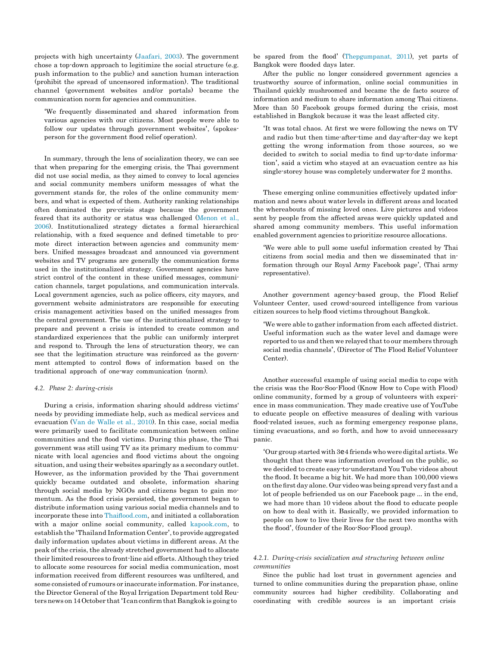projects with high uncertainty [\(Jaafari,](#page-15-29) 2003). The government chose a top-down approach to legitimize the social structure (e.g. push information to the public) and sanction human interaction (prohibit the spread of uncensored information). The traditional channel (government websites and/or portals) became the communication norm for agencies and communities.

'We frequently disseminated and shared information from various agencies with our citizens. Most people were able to follow our updates through government websites', (spokesperson for the government flood relief operation).

In summary, through the lens of socialization theory, we can see that when preparing for the emerging crisis, the Thai government did not use social media, as they aimed to convey to local agencies and social community members uniform messages of what the government stands for, the roles of the online community members, and what is expected of them. Authority ranking relationships often dominated the pre-crisis stage because the government feared that its authority or status was challenged [\(Menon](#page-15-17) et al., [2006\).](#page-15-17) Institutionalized strategy dictates a formal hierarchical relationship, with a fixed sequence and defined timetable to promote direct interaction between agencies and community members. Unified messages broadcast and announced via government websites and TV programs are generally the communication forms used in the institutionalized strategy. Government agencies have strict control of the content in these unified messages, communication channels, target populations, and communication intervals. Local government agencies, such as police officers, city mayors, and government website administrators are responsible for executing crisis management activities based on the unified messages from the central government. The use of the institutionalized strategy to prepare and prevent a crisis is intended to create common and standardized experiences that the public can uniformly interpret and respond to. Through the lens of structuration theory, we can see that the legitimation structure was reinforced as the government attempted to control flows of information based on the traditional approach of one-way communication (norm).

# *4.2. Phase 2: during-crisis*

During a crisis, information sharing should address victims' needs by providing immediate help, such as medical services and evacuation (Van [de Walle](#page-15-28) et al., 2010). In this case, social media were primarily used to facilitate communication between online communities and the flood victims. During this phase, the Thai government was still using TV as its primary medium to communicate with local agencies and flood victims about the ongoing situation, and using their websites sparingly as a secondary outlet. However, as the information provided by the Thai government quickly became outdated and obsolete, information sharing through social media by NGOs and citizens began to gain momentum. As the flood crisis persisted, the government began to distribute information using various social media channels and to incorporate these into Thaifl[ood.com,](http://thaiflood.com/) and initiated a collaboration with a major online social community, called [kapook.com,](http://kapook.com/) to establish the 'Thailand Information Center', to provide aggregated daily information updates about victims in different areas. At the peak of the crisis, the already stretched government had to allocate their limited resources to front-line aid efforts. Although they tried to allocate some resources for social media communication, most information received from different resources was unfiltered, and some consisted of rumours or inaccurate information. For instance, the Director General of the Royal Irrigation Department told Reutersnews on 14October that'I canconfirmthat Bangkok is going to

be spared from the flood' (Thepgumpanat, 2011), yet parts of Bangkok were flooded days later.

After the public no longer considered government agencies a trustworthy source of information, online social communities in Thailand quickly mushroomed and became the de facto source of information and medium to share information among Thai citizens. More than 50 Facebook groups formed during the crisis, most established in Bangkok because it was the least affected city.

'It was total chaos. At first we were following the news on TV and radio but then time-after-time and day-after-day we kept getting the wrong information from those sources, so we decided to switch to social media to find up-to-date information', said a victim who stayed at an evacuation centre as his single-storey house was completely underwater for 2 months.

These emerging online communities effectively updated information and news about water levels in different areas and located the whereabouts of missing loved ones. Live pictures and videos sent by people from the affected areas were quickly updated and shared among community members. This useful information enabled government agencies to prioritize resource allocations.

'We were able to pull some useful information created by Thai citizens from social media and then we disseminated that information through our Royal Army Facebook page', (Thai army representative).

Another government agency-based group, the Flood Relief Volunteer Center, used crowd-sourced intelligence from various citizen sources to help flood victims throughout Bangkok.

'We were able to gather information from each affected district. Useful information such as the water level and damage were reported to us and then we relayed that to our members through social media channels', (Director of The Flood Relief Volunteer Center).

Another successful example of using social media to cope with the crisis was the Roo-Soo-Flood (Know How to Cope with Flood) online community, formed by a group of volunteers with experience in mass communication. They made creative use of YouTube to educate people on effective measures of dealing with various flood-related issues, such as forming emergency response plans, timing evacuations, and so forth, and how to avoid unnecessary panic.

'Our group started with 3e4 friends whoweredigital artists. We thought that there was information overload on the public, so we decided to create easy-to-understand You Tube videos about the flood. It became a big hit. We had more than 100,000 views on the first day alone. Our video was being spread very fast and a lot of people befriended us on our Facebook page … in the end, we had more than 10 videos about the flood to educate people on how to deal with it. Basically, we provided information to people on how to live their lives for the next two months with the flood', (founder of the Roo-Soo-Flood group).

# *4.2.1. During-crisis socialization and structuring between online communities*

Since the public had lost trust in government agencies and turned to online communities during the preparation phase, online community sources had higher credibility. Collaborating and coordinating with credible sources is an important crisis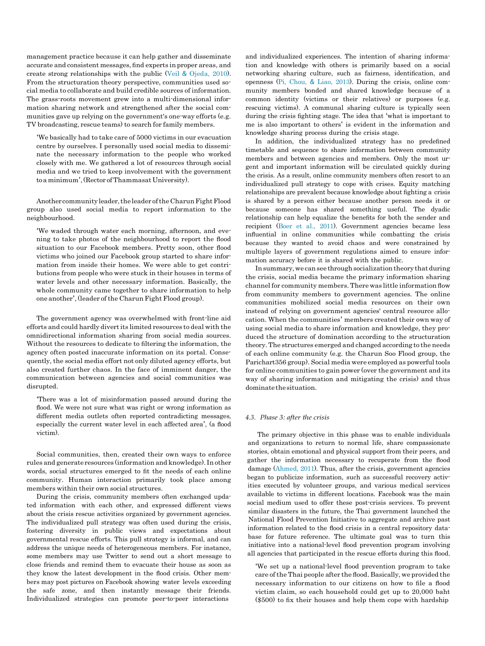management practice because it can help gather and disseminate accurate and consistent messages, find experts in proper areas, and create strong relationships with the public [\(Veil](#page-15-30) & [Ojeda,](#page-15-30) 2010). From the structuration theory perspective, communities used social media to collaborate and build credible sources of information. The grass-roots movement grew into a multi-dimensional information sharing network and strengthened after the social communities gave up relying on the government's one-way efforts (e.g. TV broadcasting, rescue teams) to search for family members.

'We basically had to take care of 5000 victims in our evacuation centre by ourselves. I personally used social media to disseminate the necessary information to the people who worked closely with me. We gathered a lot of resources through social media and we tried to keep involvement with the government to a minimum', (Rector ofThammasat University).

Another community leader, the leader of the Charun Fight Flood group also used social media to report information to the neighbourhood.

'We waded through water each morning, afternoon, and evening to take photos of the neighbourhood to report the flood situation to our Facebook members. Pretty soon, other flood victims who joined our Facebook group started to share information from inside their homes. We were able to get contributions from people who were stuck in their houses in terms of water levels and other necessary information. Basically, the whole community came together to share information to help one another', (leader of the Charun Fight Flood group).

The government agency was overwhelmed with front-line aid efforts and could hardly divertits limited resources to deal with the omnidirectional information sharing from social media sources. Without the resources to dedicate to filtering the information, the agency often posted inaccurate information on its portal. Consequently, the social media effort not only diluted agency efforts, but also created further chaos. In the face of imminent danger, the communication between agencies and social communities was disrupted.

'There was a lot of misinformation passed around during the flood. We were not sure what was right or wrong information as different media outlets often reported contradicting messages, especially the current water level in each affected area', (a flood victim).

Social communities, then, created their own ways to enforce rules and generateresources (information and knowledge). In other words, social structures emerged to fit the needs of each online community. Human interaction primarily took place among members within their own social structures.

During the crisis, community members often exchanged updated information with each other, and expressed different views about the crisis rescue activities organized by government agencies. The individualized pull strategy was often used during the crisis, fostering diversity in public views and expectations about governmental rescue efforts. This pull strategy is informal, and can address the unique needs of heterogeneous members. For instance, some members may use Twitter to send out a short message to close friends and remind them to evacuate their house as soon as they know the latest development in the flood crisis. Other members may post pictures on Facebook showing water levels exceeding the safe zone, and then instantly message their friends. Individualized strategies can promote peer-to-peer interactions

and individualized experiences. The intention of sharing information and knowledge with others is primarily based on a social networking sharing culture, such as fairness, identification, and openness (Pi, [Chou,](#page-15-31) & Liao, [2013\)](#page-15-31). During the crisis, online community members bonded and shared knowledge because of a common identity (victims or their relatives) or purposes (e.g. rescuing victims). A communal sharing culture is typically seen during the crisis fighting stage. The idea that 'what is important to me is also important to others' is evident in the information and knowledge sharing process during the crisis stage.

In addition, the individualized strategy has no predefined timetable and sequence to share information between community members and between agencies and members. Only the most urgent and important information will be circulated quickly during the crisis. As a result, online community members often resort to an individualized pull strategy to cope with crises. Equity matching relationships are prevalent because knowledge about fighting a crisis is shared by a person either because another person needs it or because someone has shared something useful. The dyadic relationship can help equalize the benefits for both the sender and recipient [\(Boer](#page-14-7) et al., 2011). Government agencies became less influential in online communities while combatting the crisis because they wanted to avoid chaos and were constrained by multiple layers of government regulations aimed to ensure information accuracy before it is shared with the public.

In summary, we can see through socialization theory that during the crisis, social media became the primary information sharing channel for community members. There was little information flow from community members to government agencies. The online communities mobilized social media resources on their own instead of relying on government agencies' central resource allocation. When the communities' members created their own way of using social media to share information and knowledge, they produced the structure of domination according to the structuration theory. The structures emerged and changed according to the needs of each online community (e.g. the Charun Soo Flood group, the Parichart356 group). Social media were employed as powerful tools for online communities to gain power (over the government and its way of sharing information and mitigating the crisis) and thus dominatethesituation.

# *4.3. Phase 3: after the crisis*

The primary objective in this phase was to enable individuals and organizations to return to normal life, share compassionate stories, obtain emotional and physical support from their peers, and gather the information necessary to recuperate from the flood damage [\(Ahmed,](#page-14-19) 2011). Thus, after the crisis, government agencies began to publicize information, such as successful recovery activities executed by volunteer groups, and various medical services available to victims in different locations. Facebook was the main social medium used to offer these post-crisis services. To prevent similar disasters in the future, the Thai government launched the National Flood Prevention Initiative to aggregate and archive past information related to the flood crisis in a central repository database for future reference. The ultimate goal was to turn this initiative into a national-level flood prevention program involving all agencies that participated in the rescue efforts during this flood.

'We set up a national-level flood prevention program to take care ofthe Thai people after the flood. Basically, we provided the necessary information to our citizens on how to file a flood victim claim, so each household could get up to 20,000 baht (\$500) to fix their houses and help them cope with hardship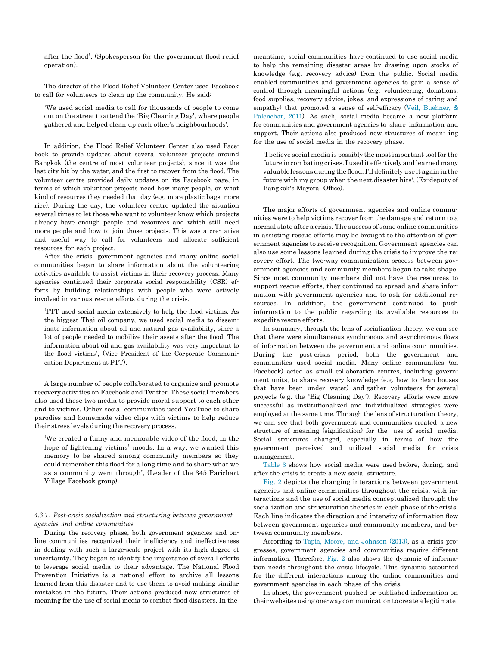after the flood', (Spokesperson for the government flood relief operation).

The director of the Flood Relief Volunteer Center used Facebook to call for volunteers to clean up the community. He said:

'We used social media to call for thousands of people to come out on the street to attend the 'Big Cleaning Day', where people gathered and helped clean up each other's neighbourhoods'.

In addition, the Flood Relief Volunteer Center also used Facebook to provide updates about several volunteer projects around Bangkok (the centre of most volunteer projects), since it was the last city hit by the water, and the first to recover from the flood. The volunteer centre provided daily updates on its Facebook page, in terms of which volunteer projects need how many people, or what kind of resources they needed that day (e.g. more plastic bags, more rice). During the day, the volunteer centre updated the situation several times to let those who want to volunteer know which projects already have enough people and resources and which still need more people and how to join those projects. This was a cre- ative and useful way to call for volunteers and allocate sufficient resources for each project.

After the crisis, government agencies and many online social communities began to share information about the volunteering activities available to assist victims in their recovery process. Many agencies continued their corporate social responsibility (CSR) efforts by building relationships with people who were actively involved in various rescue efforts during the crisis.

'PTT used social media extensively to help the flood victims. As the biggest Thai oil company, we used social media to disseminate information about oil and natural gas availability, since a lot of people needed to mobilize their assets after the flood. The information about oil and gas availability was very important to the flood victims', (Vice President of the Corporate Communication Department at PTT).

A large number of people collaborated to organize and promote recovery activities on Facebook and Twitter. These social members also used these two media to provide moral support to each other and to victims. Other social communities used YouTube to share parodies and homemade video clips with victims to help reduce their stress levels during the recovery process.

'We created a funny and memorable video of the flood, in the hope of lightening victims' moods. In a way, we wanted this memory to be shared among community members so they could remember this flood for a long time and to share what we as a community went through', (Leader of the 345 Parichart Village Facebook group).

# *4.3.1. Post-crisis socialization and structuring between government agencies and online communities*

During the recovery phase, both government agencies and online communities recognized their inefficiency and ineffectiveness in dealing with such a large-scale project with its high degree of uncertainty. They began to identify the importance of overall efforts to leverage social media to their advantage. The National Flood Prevention Initiative is a national effort to archive all lessons learned from this disaster and to use them to avoid making similar mistakes in the future. Their actions produced new structures of meaning for the use of social media to combat flood disasters. In the

meantime, social communities have continued to use social media to help the remaining disaster areas by drawing upon stocks of knowledge (e.g. recovery advice) from the public. Social media enabled communities and government agencies to gain a sense of control through meaningful actions (e.g. volunteering, donations, food supplies, recovery advice, jokes, and expressions of caring and empathy) that promoted a sense of self-efficacy (Veil, [Buehner,](#page-15-32) & [Palenchar, 2011\)](#page-15-32). As such, social media became a new platform for communities and government agencies to share information and support. Their actions also produced new structures of mean- ing for the use of social media in the recovery phase.

'I believe social media is possibly the mostimportant tool for the future incombating crises. I used it effectively and learned many valuablelessons during the flood. I'll definitely use it again inthe future with my group when the next disaster hits', (Ex-deputy of Bangkok's Mayoral Office).

The major efforts of government agencies and online communities were to help victims recover from the damage and return to a normal state after a crisis. The success of some online communities in assisting rescue efforts may be brought to the attention of government agencies to receive recognition. Government agencies can also use some lessons learned during the crisis to improve the recovery effort. The two-way communication process between government agencies and community members began to take shape. Since most community members did not have the resources to support rescue efforts, they continued to spread and share information with government agencies and to ask for additional resources. In addition, the government continued to push information to the public regarding its available resources to expedite rescue efforts.

In summary, through the lens of socialization theory, we can see that there were simultaneous synchronous and asynchronous flows of information between the government and online com- munities. During the post-crisis period, both the government and communities used social media. Many online communities (on Facebook) acted as small collaboration centres, including government units, to share recovery knowledge (e.g. how to clean houses that have been under water) and gather volunteers for several projects (e.g. the 'Big Cleaning Day'). Recovery efforts were more successful as institutionalized and individualized strategies were employed at the same time. Through the lens of structuration theory, we can see that both government and communities created a new structure of meaning (signification) for the use of social media. Social structures changed, especially in terms of how the government perceived and utilized social media for crisis management.

[Table 3](#page-10-0) shows how social media were used before, during, and after the crisis to create a new social structure.

[Fig. 2](#page-11-0) depicts the changing interactions between government agencies and online communities throughout the crisis, with interactions and the use of social media conceptualized through the socialization and structuration theories in each phase of the crisis. Each line indicates the direction and intensity of information flow between government agencies and community members, and between community members.

According to Tapia, Moore, and [Johnson](#page-15-33) (2013), as a crisis progresses, government agencies and communities require different information. Therefore, [Fig. 2](#page-11-0) also shows the dynamic of information needs throughout the crisis lifecycle. This dynamic accounted for the different interactions among the online communities and government agencies in each phase of the crisis.

In short, the government pushed or published information on their websites using one-waycommunication to create a legitimate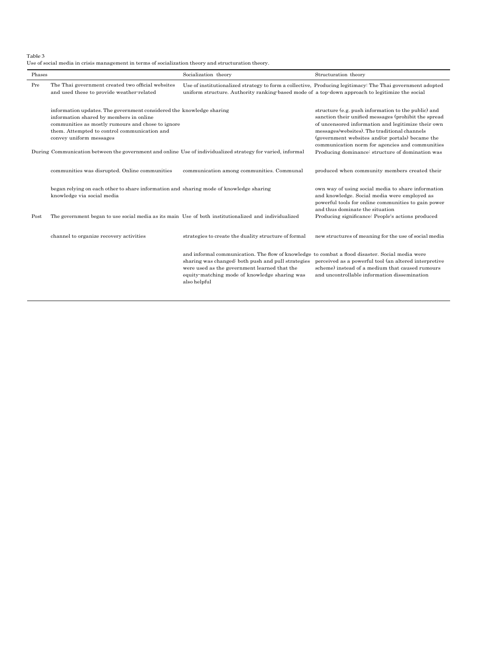<span id="page-10-0"></span>Table 3

| Use of social media in crisis management in terms of socialization theory and structuration theory. |  |
|-----------------------------------------------------------------------------------------------------|--|
|-----------------------------------------------------------------------------------------------------|--|

| Phases |                                                                                                                                                                                                                                                 | Socialization theory                                                                                                                                                                                                                                                   | Structuration theory                                                                                                                                                                                                                                                                                                    |
|--------|-------------------------------------------------------------------------------------------------------------------------------------------------------------------------------------------------------------------------------------------------|------------------------------------------------------------------------------------------------------------------------------------------------------------------------------------------------------------------------------------------------------------------------|-------------------------------------------------------------------------------------------------------------------------------------------------------------------------------------------------------------------------------------------------------------------------------------------------------------------------|
| Pre    | The Thai government created two official websites<br>and used these to provide weather-related                                                                                                                                                  | uniform structure. Authority ranking-based mode of a top-down approach to legitimize the social                                                                                                                                                                        | Use of institutionalized strategy to form a collective, Producing legitimacy. The Thai government adopted                                                                                                                                                                                                               |
|        | information updates. The government considered the knowledge sharing<br>information shared by members in online<br>communities as mostly rumours and chose to ignore<br>them. Attempted to control communication and<br>convey uniform messages |                                                                                                                                                                                                                                                                        | structure (e.g. push information to the public) and<br>sanction their unified messages (prohibit the spread<br>of uncensored information and legitimize their own<br>messages/websites). The traditional channels<br>(government websites and/or portals) became the<br>communication norm for agencies and communities |
|        | During Communication between the government and online Use of individualized strategy for varied, informal                                                                                                                                      |                                                                                                                                                                                                                                                                        | Producing dominance: structure of domination was                                                                                                                                                                                                                                                                        |
|        | communities was disrupted. Online communities                                                                                                                                                                                                   | communication among communities. Communal                                                                                                                                                                                                                              | produced when community members created their                                                                                                                                                                                                                                                                           |
|        | began relying on each other to share information and sharing mode of knowledge sharing<br>knowledge via social media                                                                                                                            |                                                                                                                                                                                                                                                                        | own way of using social media to share information<br>and knowledge. Social media were employed as<br>powerful tools for online communities to gain power                                                                                                                                                               |
| Post   | The government began to use social media as its main Use of both institutionalized and individualized                                                                                                                                           |                                                                                                                                                                                                                                                                        | and thus dominate the situation<br>Producing significance: People's actions produced                                                                                                                                                                                                                                    |
|        | channel to organize recovery activities                                                                                                                                                                                                         | strategies to create the duality structure of formal                                                                                                                                                                                                                   | new structures of meaning for the use of social media                                                                                                                                                                                                                                                                   |
|        |                                                                                                                                                                                                                                                 | and informal communication. The flow of knowledge to combat a flood disaster. Social media were<br>sharing was changed: both push and pull strategies<br>were used as the government learned that the<br>equity-matching mode of knowledge sharing was<br>also helpful | perceived as a powerful tool (an altered interpretive<br>scheme) instead of a medium that caused rumours<br>and uncontrollable information dissemination                                                                                                                                                                |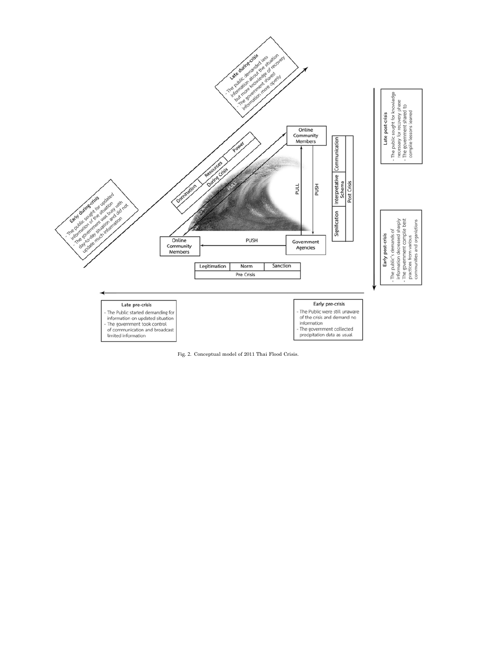

<span id="page-11-0"></span>Fig. 2. Conceptual model of 2011 Thai Flood Crisis.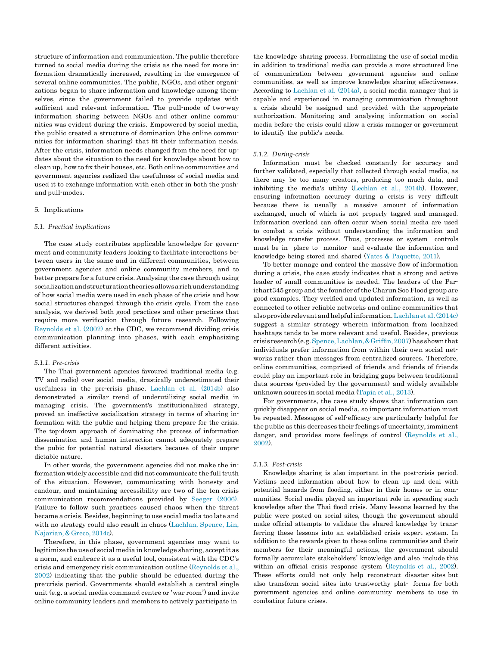structure of information and communication. The public therefore turned to social media during the crisis as the need for more information dramatically increased, resulting in the emergence of several online communities. The public, NGOs, and other organizations began to share information and knowledge among themselves, since the government failed to provide updates with sufficient and relevant information. The pull-mode of two-way information sharing between NGOs and other online communities was evident during the crisis. Empowered by social media, the public created a structure of domination (the online communities for information sharing) that fit their information needs. After the crisis, information needs changed from the need for updates about the situation to the need for knowledge about how to clean up, how to fix their houses, etc. Both online communities and government agencies realized the usefulness of social media and used it to exchange information with each other in both the pushand pull-modes.

# 5. Implications

#### *5.1. Practical implications*

The case study contributes applicable knowledge for government and community leaders looking to facilitate interactions between users in the same and in different communities, between government agencies and online community members, and to better prepare for a future crisis. Analysing the case through using socializationandstructurationtheoriesallows a richunderstanding of how social media were used in each phase of the crisis and how social structures changed through the crisis cycle. From the case analysis, we derived both good practices and other practices that require more verification through future research. Following [Reynolds](#page-15-34) et al. (2002) at the CDC, we recommend dividing crisis communication planning into phases, with each emphasizing different activities.

#### *5.1.1. Pre-crisis*

The Thai government agencies favoured traditional media (e.g. TV and radio) over social media, drastically underestimated their usefulness in the pre-crisis phase. [Lachlan](#page-15-35) et al. (2014b) also demonstrated a similar trend of underutilizing social media in managing crisis. The government's institutionalized strategy, proved an ineffective socialization strategy in terms of sharing information with the public and helping them prepare for the crisis. The top-down approach of dominating the process of information dissemination and human interaction cannot adequately prepare the pubic for potential natural disasters because of their unpredictable nature.

In other words, the government agencies did not make the information widely accessible and did not communicate the full truth of the situation. However, communicating with honesty and candour, and maintaining accessibility are two of the ten crisis communication recommendations provided by Seeger [\(2006\).](#page-15-4) Failure to follow such practices caused chaos when the threat became a crisis. Besides, beginning to use social media too late and with no strategy could also result in chaos [\(Lachlan,](#page-15-36) Spence, Lin, [Najarian,](#page-15-36)& [Greco,](#page-15-36) 2014c).

Therefore, in this phase, government agencies may want to legitimize the use of social media in knowledge sharing, accept it as a norm, and embrace it as a useful tool, consistent with the CDC's crisis and emergency risk communication outline [\(Reynolds](#page-15-34) et al., [2002\)](#page-15-34) indicating that the public should be educated during the pre-crisis period. Governments should establish a central single unit (e.g. a social media command centre or 'war room') and invite online community leaders and members to actively participate in

the knowledge sharing process. Formalizing the use of social media in addition to traditional media can provide a more structured line of communication between government agencies and online communities, as well as improve knowledge sharing effectiveness. According to [Lachlan](#page-15-3) et al. (2014a), a social media manager that is capable and experienced in managing communication throughout a crisis should be assigned and provided with the appropriate authorization. Monitoring and analysing information on social media before the crisis could allow a crisis manager or government to identify the public's needs.

### *5.1.2. During-crisis*

Information must be checked constantly for accuracy and further validated, especially that collected through social media, as there may be too many creators, producing too much data, and inhibiting the media's utility [\(Lechlan](#page-15-35) et al., 2014b). However, ensuring information accuracy during a crisis is very difficult because there is usually a massive amount of information exchanged, much of which is not properly tagged and managed. Information overload can often occur when social media are used to combat a crisis without understanding the information and knowledge transfer process. Thus, processes or system controls must be in place to monitor and evaluate the information and knowledge being stored and shared [\(Yates](#page-15-11) & [Paquette,](#page-15-11) 2011).

To better manage and control the massive flow of information during a crisis, the case study indicates that a strong and active leader of small communities is needed. The leaders of the Parichart 345 group and the founder of the Charun Soo Flood group are good examples. They verified and updated information, as well as connected to other reliable networks and online communities that alsoproviderelevantandhelpfulinformation[.Lachlanet](#page-15-36) al.(2014c) suggest a similar strategy wherein information from localized hashtags tends to be more relevant and useful. Besides, previous crisisresearch(e.g[.Spence,Lachlan,](#page-15-37)& [Grif](#page-15-37)fi[n,2007\)](#page-15-37) hasshownthat individuals prefer information from within their own social networks rather than messages from centralized sources. Therefore, online communities, comprised of friends and friends of friends could play an important role in bridging gaps between traditional data sources (provided by the government) and widely available unknown sources in social media [\(Tapia](#page-15-33) et al., 2013).

For governments, the case study shows that information can quickly disappear on social media, so important information must be repeated. Messages of self-efficacy are particularly helpful for the public as this decreases their feelings of uncertainty, imminent danger, and provides more feelings of control [\(Reynolds](#page-15-34) et al., [2002\)](#page-15-34).

#### *5.1.3. Post-crisis*

Knowledge sharing is also important in the post-crisis period. Victims need information about how to clean up and deal with potential hazards from flooding, either in their homes or in communities. Social media played an important role in spreading such knowledge after the Thai flood crisis. Many lessons learned by the public were posted on social sites, though the government should make official attempts to validate the shared knowledge by transferring these lessons into an established crisis expert system. In addition to the rewards given to those online communities and their members for their meaningful actions, the government should formally accumulate stakeholders' knowledge and also include this within an official crisis response system [\(Reynolds](#page-15-34) et al., [2002\)](#page-15-34). These efforts could not only help reconstruct disaster sites but also transform social sites into trustworthy plat- forms for both government agencies and online community members to use in combating future crises.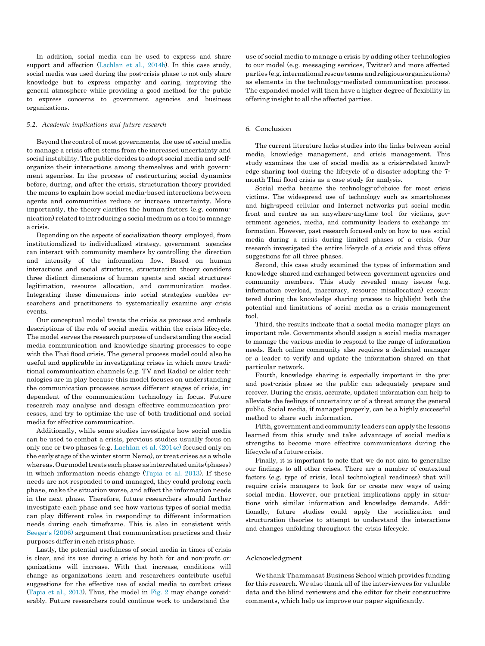In addition, social media can be used to express and share support and affection [\(Lachlan](#page-15-35) et al., 2014b). In this case study, social media was used during the post-crisis phase to not only share knowledge but to express empathy and caring, improving the general atmosphere while providing a good method for the public to express concerns to government agencies and business organizations.

# *5.2. Academic implications and future research*

Beyond the control of most governments, the use of social media to manage a crisis often stems from the increased uncertainty and social instability. The public decides to adopt social media and selforganize their interactions among themselves and with government agencies. In the process of restructuring social dynamics before, during, and after the crisis, structuration theory provided the means to explain how social media-based interactions between agents and communities reduce or increase uncertainty. More importantly, the theory clarifies the human factors (e.g. communication) related to introducing a social medium as a toolto manage a crisis.

Depending on the aspects of socialization theory employed, from institutionalized to individualized strategy, government agencies can interact with community members by controlling the direction and intensity of the information flow. Based on human interactions and social structures, structuration theory considers three distinct dimensions of human agents and social structures: legitimation, resource allocation, and communication modes. Integrating these dimensions into social strategies enables researchers and practitioners to systematically examine any crisis events.

Our conceptual model treats the crisis as process and embeds descriptions of the role of social media within the crisis lifecycle. The model serves the research purpose of understanding the social media communication and knowledge sharing processes to cope with the Thai flood crisis. The general process model could also be useful and applicable in investigating crises in which more traditional communication channels (e.g. TV and Radio) or older technologies are in play because this model focuses on understanding the communication processes across different stages of crisis, independent of the communication technology in focus. Future research may analyse and design effective communication processes, and try to optimize the use of both traditional and social media for effective communication.

Additionally, while some studies investigate how social media can be used to combat a crisis, previous studies usually focus on only one or two phases (e.g. [Lachlan](#page-15-36) et al. (2014c) focused only on the early stage of the winter storm Nemo), or treat crises as a whole whereas. Our model treats each phase as interrelated units (phases) in which information needs change [\(Tapia](#page-15-33) et al. 2013). If these needs are not responded to and managed, they could prolong each phase, make the situation worse, and affect the information needs in the next phase. Therefore, future researchers should further investigate each phase and see how various types of social media can play different roles in responding to different information needs during each timeframe. This is also in consistent with [Seeger's](#page-15-4) (2006) argument that communication practices and their purposes differ in each crisis phase.

Lastly, the potential usefulness of social media in times of crisis is clear, and its use during a crisis by both for and non-profit organizations will increase. With that increase, conditions will change as organizations learn and researchers contribute useful suggestions for the effective use of social media to combat crises [\(Tapia](#page-15-33) et al., 2013). Thus, the model in [Fig. 2](#page-11-0) may change considerably. Future researchers could continue work to understand the

use of social media to manage a crisis by adding other technologies to our model (e.g. messaging services, Twitter) and more affected parties (e.g.international rescue teams andreligious organizations) as elements in the technology-mediated communication process. The expanded model will then have a higher degree of flexibility in offering insight to all the affected parties.

#### 6. Conclusion

The current literature lacks studies into the links between social media, knowledge management, and crisis management. This study examines the use of social media as a crisis-related knowledge sharing tool during the lifecycle of a disaster adopting the 7 month Thai flood crisis as a case study for analysis.

Social media became the technology-of-choice for most crisis victims. The widespread use of technology such as smartphones and high-speed cellular and Internet networks put social media front and centre as an anywhere-anytime tool for victims, government agencies, media, and community leaders to exchange information. However, past research focused only on how to use social media during a crisis during limited phases of a crisis. Our research investigated the entire lifecycle of a crisis and thus offers suggestions for all three phases.

Second, this case study examined the types of information and knowledge shared and exchanged between government agencies and community members. This study revealed many issues (e.g. information overload, inaccuracy, resource misallocation) encountered during the knowledge sharing process to highlight both the potential and limitations of social media as a crisis management tool.

Third, the results indicate that a social media manager plays an important role. Governments should assign a social media manager to manage the various media to respond to the range of information needs. Each online community also requires a dedicated manager or a leader to verify and update the information shared on that particular network.

Fourth, knowledge sharing is especially important in the preand post-crisis phase so the public can adequately prepare and recover. During the crisis, accurate, updated information can help to alleviate the feelings of uncertainty or of a threat among the general public. Social media, if managed properly, can be a highly successful method to share such information.

Fifth, government and community leaders can apply the lessons learned from this study and take advantage of social media's strengths to become more effective communicators during the lifecycle of a future crisis.

Finally, it is important to note that we do not aim to generalize our findings to all other crises. There are a number of contextual factors (e.g. type of crisis, local technological readiness) that will require crisis managers to look for or create new ways of using social media. However, our practical implications apply in situations with similar information and knowledge demands. Additionally, future studies could apply the socialization and structuration theories to attempt to understand the interactions and changes unfolding throughout the crisis lifecycle.

# Acknowledgment

We thank Thammasat Business School which provides funding for this research. We also thank all of the interviewees for valuable data and the blind reviewers and the editor for their constructive comments, which help us improve our paper significantly.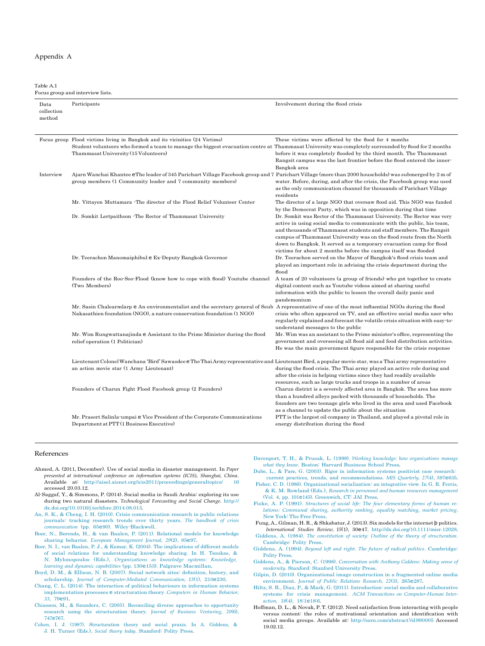#### Appendix A

Table A.1

|                              | Focus group and interview lists.                                                                                                                                                                                                                                            |                                                                                                                                                                                                                                                                                                                                                                                                                                          |  |  |  |
|------------------------------|-----------------------------------------------------------------------------------------------------------------------------------------------------------------------------------------------------------------------------------------------------------------------------|------------------------------------------------------------------------------------------------------------------------------------------------------------------------------------------------------------------------------------------------------------------------------------------------------------------------------------------------------------------------------------------------------------------------------------------|--|--|--|
| Data<br>collection<br>method | Participants                                                                                                                                                                                                                                                                | Involvement during the flood crisis                                                                                                                                                                                                                                                                                                                                                                                                      |  |  |  |
|                              | Focus group Flood victims living in Bangkok and its vicinities (24 Victims)<br>Student volunteers who formed a team to manage the biggest evacuation centre at Thammasat University was completely surrounded by flood for 2 months<br>Thammasat University (15 Volunteers) | These victims were affected by the flood for 4 months<br>before it was completely flooded by the third month. The Thammasat<br>Rangsit campus was the last frontier before the flood entered the inner-<br>Bangkok area                                                                                                                                                                                                                  |  |  |  |
| Interview                    | Ajarn Wanchai Khantee eThe leader of 345 Parichart Village Facebook group and 7 Parichart Village (more than 2000 households) was submerged by 2 m of<br>group members (1 Community leader and 7 community members)                                                         | water. Before, during, and after the crisis, the Facebook group was used<br>as the only communication channel for thousands of Parichart Village<br>residents                                                                                                                                                                                                                                                                            |  |  |  |
|                              | Mr. Vittayen Muttamara - The director of the Flood Relief Volunteer Center                                                                                                                                                                                                  | The director of a large NGO that oversaw flood aid. This NGO was funded<br>by the Democrat Party, which was in opposition during that time                                                                                                                                                                                                                                                                                               |  |  |  |
|                              | Dr. Somkit Lertpaithoon - The Rector of Thammasat University                                                                                                                                                                                                                | Dr. Somkit was Rector of the Thammasat University. The Rector was very<br>active in using social media to communicate with the public, his team,<br>and thousands of Thammasat students and staff members. The Rangsit<br>campus of Thammasat University was on the flood route from the North<br>down to Bangkok. It served as a temporary evacuation camp for flood<br>victims for about 2 months before the campus itself was flooded |  |  |  |
|                              | Dr. Teerachon Manomaiphibul e Ex-Deputy Bangkok Governor                                                                                                                                                                                                                    | Dr. Teerachon served on the Mayor of Bangkok's flood crisis team and<br>played an important role in advising the crisis department during the<br>flood                                                                                                                                                                                                                                                                                   |  |  |  |
|                              | Founders of the Roo-Soo-Flood (know how to cope with flood) Youtube channel<br>(Two Members)                                                                                                                                                                                | A team of 20 volunteers (a group of friends) who got together to create<br>digital content such as Youtube videos aimed at sharing useful<br>information with the public to lessen the overall daily panic and<br>pandemonium                                                                                                                                                                                                            |  |  |  |
|                              | Mr. Sasin Chalearmlarp e An environmentalist and the secretary general of Seub A representative of one of the most influential NGOs during the flood<br>$Nakasathien$ foundation (NGO), a nature conservation foundation $(1\,\text{NGO})$                                  | crisis who often appeared on TV, and an effective social media user who<br>regularly explained and forecast the volatile crisis situation with easy to-<br>understand messages to the public                                                                                                                                                                                                                                             |  |  |  |
|                              | Mr. Wim Rungwattanajinda e Assistant to the Prime Minister during the flood<br>relief operation (1 Politician)                                                                                                                                                              | Mr. Wim was an assistant to the Prime minister's office, representing the<br>government and overseeing all flood aid and food distribution activities<br>He was the main government figure responsible for the crisis response                                                                                                                                                                                                           |  |  |  |
|                              | Lieutenant Colonel Wanchana 'Bird' Sawasdee e The Thai Army representative and Lieutenant Bird, a popular movie star, was a Thai army representative<br>an action movie star (1 Army Lieutenant)                                                                            | during the flood crisis. The Thai army played an active role during and<br>after the crisis in helping victims since they had readily available<br>resources, such as large trucks and troops in a number of areas                                                                                                                                                                                                                       |  |  |  |
|                              | Founders of Charun Fight Flood Facebook group (2 Founders)                                                                                                                                                                                                                  | Charun district is a severely affected area in Bangkok. The area has more<br>than a hundred alleys packed with thousands of households. The<br>founders are two teenage girls who lived in the area and used Facebook<br>as a channel to update the public about the situation                                                                                                                                                           |  |  |  |
|                              | Mr. Prasert Salinla-umpai e Vice President of the Corporate Communications<br>Department at PTT (1 Business Executive)                                                                                                                                                      | PTT is the largest oil company in Thailand, and played a pivotal role in<br>energy distribution during the flood                                                                                                                                                                                                                                                                                                                         |  |  |  |

# <span id="page-14-17"></span>References

- <span id="page-14-19"></span>Ahmed, A. (2011, December). Use of social media in disaster management. In *Paper presented at international conference on information systems (ICIS), Shanghai, China*. Available at: [http://aisel.aisnet.org/icis2011/proceedings/generaltopics/ 16](http://aisel.aisnet.org/icis2011/proceedings/generaltopics/16) accessed 20.03.12.
- Al-Saggaf, Y., & Simmons, P. (2014). Social media in Saudi Arabia: exploring its use during two natural disasters. *Technological Forecasting and Social Change*. [http://](http://dx.doi.org/10.1016/j.techfore.2014.08.013)  [dx.doi.org/10.1016/j.techfore.2014.08.013.](http://dx.doi.org/10.1016/j.techfore.2014.08.013)
- An, S. K., & Cheng, I. H. (2010). [Crisis communication](http://refhub.elsevier.com/S0747-5632(15)30075-3/sref3) research in public relations journals: tracking research trends over [thirty years.](http://refhub.elsevier.com/S0747-5632(15)30075-3/sref3) *The handbook of crisis [communication](http://refhub.elsevier.com/S0747-5632(15)30075-3/sref3)* (pp. 65e[90\). Wiley-Blackwell.](http://refhub.elsevier.com/S0747-5632(15)30075-3/sref3)
- Boer, N., Berends, H., & van Baalen, P. (2011). Relational models for [knowledge](http://refhub.elsevier.com/S0747-5632(15)30075-3/sref4)  sharing behavior. *European [Management](http://refhub.elsevier.com/S0747-5632(15)30075-3/sref4) Journal, 29*(2), 85e[97.](http://refhub.elsevier.com/S0747-5632(15)30075-3/sref4)
- Boer, N. I., van Baalen, [P. J., & Kumar, K. \(2004\). The](http://refhub.elsevier.com/S0747-5632(15)30075-3/sref5) implications of different models [of social relations for understanding knowledge sharing. In H. Tsoukas, &](http://refhub.elsevier.com/S0747-5632(15)30075-3/sref5) N. Mylonopoulos (Eds.), *[Organizations as knowledge systems: Knowledge,](http://refhub.elsevier.com/S0747-5632(15)30075-3/sref5)  [learning and dynamic capabilities](http://refhub.elsevier.com/S0747-5632(15)30075-3/sref5)* (pp. 130e153). [Palgrave Macmillan.](http://refhub.elsevier.com/S0747-5632(15)30075-3/sref5)
- Boyd, D. [M., & Ellison,](http://refhub.elsevier.com/S0747-5632(15)30075-3/sref6) N. B. (2007). Social network sites: definition, [history, and](http://refhub.elsevier.com/S0747-5632(15)30075-3/sref6) scholarship. *[Journal of Computer-Mediated Communication,](http://refhub.elsevier.com/S0747-5632(15)30075-3/sref6) 13*(1), 210e[230.](http://refhub.elsevier.com/S0747-5632(15)30075-3/sref6)
- Chang, C. L. (2014). The interaction of political behaviours [in information systems](http://refhub.elsevier.com/S0747-5632(15)30075-3/sref7) [implementation processes](http://refhub.elsevier.com/S0747-5632(15)30075-3/sref7) e structuration theory. *[Computers in Human Behavior,](http://refhub.elsevier.com/S0747-5632(15)30075-3/sref7)  33*[, 79](http://refhub.elsevier.com/S0747-5632(15)30075-3/sref7)e[91.](http://refhub.elsevier.com/S0747-5632(15)30075-3/sref7)
- Chiasson, M., & Saunders, [C. \(2005\). Reconciling](http://refhub.elsevier.com/S0747-5632(15)30075-3/sref8) diverse approaches to opportunity research using the structuration theory. *Journal of [Business Venturing,](http://refhub.elsevier.com/S0747-5632(15)30075-3/sref8) 20*(6), [747](http://refhub.elsevier.com/S0747-5632(15)30075-3/sref8)e[767.](http://refhub.elsevier.com/S0747-5632(15)30075-3/sref8)
- [Cohen, I. J. \(1987\). Structuration theory and social praxis. In A. Giddens, &](http://refhub.elsevier.com/S0747-5632(15)30075-3/sref9) J. H. Turner (Eds.), *Social theory today*[. Stamford:](http://refhub.elsevier.com/S0747-5632(15)30075-3/sref9) Polity Press.

<span id="page-14-10"></span>Davenport, T. [H., & Prusak,](http://refhub.elsevier.com/S0747-5632(15)30075-3/sref10) L. (1998). *Working knowledge: how organizations manage what they know*. Boston: Harvard [Business](http://refhub.elsevier.com/S0747-5632(15)30075-3/sref10) School Press.

- <span id="page-14-18"></span>[Dub](http://refhub.elsevier.com/S0747-5632(15)30075-3/sref11)[e, L., & Pare](http://refhub.elsevier.com/S0747-5632(15)30075-3/sref11), G. (2003). Rigor in [information systems](http://refhub.elsevier.com/S0747-5632(15)30075-3/sref11) positivist case research: current practices, [trends, and recommendations.](http://refhub.elsevier.com/S0747-5632(15)30075-3/sref11) *MIS Quarterly, 27*(4), 597e[635.](http://refhub.elsevier.com/S0747-5632(15)30075-3/sref11)
- <span id="page-14-2"></span><span id="page-14-1"></span>Fisher, C. D. [\(1986\). Organizational socialization: an integrative view. In](http://refhub.elsevier.com/S0747-5632(15)30075-3/sref12) G. R. Ferris, & K. M. Rowland (Eds.), *[Research in personnel](http://refhub.elsevier.com/S0747-5632(15)30075-3/sref12) and human resources management* [\(Vol. 4, pp.](http://refhub.elsevier.com/S0747-5632(15)30075-3/sref12) 101e145). [Greenwich,](http://refhub.elsevier.com/S0747-5632(15)30075-3/sref12) CT: JAI Press.
- <span id="page-14-16"></span><span id="page-14-8"></span>Fiske, A. P. (1991). *Structures of [social life: The four elementary](http://refhub.elsevier.com/S0747-5632(15)30075-3/sref13) forms of human relations: Communal sharing, [authority ranking, equality matching,](http://refhub.elsevier.com/S0747-5632(15)30075-3/sref13) market pricing*. [New York:](http://refhub.elsevier.com/S0747-5632(15)30075-3/sref13) The Free Pre
- <span id="page-14-7"></span><span id="page-14-5"></span><span id="page-14-3"></span>Fung, A., Gilman, H. R., & Shkabatur, J. (2013).Six models for the internet þ politics. *International Studies Review, 15*(1), 30e47. [http://dx.doi.org/10.1111/misr.12028.](http://dx.doi.org/10.1111/misr.12028) Giddens, A. (1984). *The constitution of society: Outline of the theory of [structuration](http://refhub.elsevier.com/S0747-5632(15)30075-3/sref15)*.
- <span id="page-14-13"></span><span id="page-14-9"></span>[Cambridge: Polity](http://refhub.elsevier.com/S0747-5632(15)30075-3/sref15) Press. Giddens, A. (1994). *Beyond left and right. [The future of radical politics](http://refhub.elsevier.com/S0747-5632(15)30075-3/sref16)*. Cambridge: [Polity Press.](http://refhub.elsevier.com/S0747-5632(15)30075-3/sref16)
- <span id="page-14-12"></span><span id="page-14-4"></span>Giddens, A., & Pierson, C. (1998). *[Conversation](http://refhub.elsevier.com/S0747-5632(15)30075-3/sref17) with Anthony Giddens: Making sense of modernity*[. Stanford: Stanford](http://refhub.elsevier.com/S0747-5632(15)30075-3/sref17) University Press.
- <span id="page-14-11"></span><span id="page-14-6"></span>Gilpin, D. [\(2010\). Organizational](http://refhub.elsevier.com/S0747-5632(15)30075-3/sref18) image construction in a fragmented online media environment. *Journal of [Public Relations](http://refhub.elsevier.com/S0747-5632(15)30075-3/sref18) Research, 22*(3), 265e[287.](http://refhub.elsevier.com/S0747-5632(15)30075-3/sref18)
- <span id="page-14-14"></span>Hiltz, S. R., Diaz, P., & Mark, G. (2011). [Introduction:](http://refhub.elsevier.com/S0747-5632(15)30075-3/sref19) social media and collaborative systems for crisis management. *[ACM Transactions](http://refhub.elsevier.com/S0747-5632(15)30075-3/sref19) on Computer-Human Inter[action, 18](http://refhub.elsevier.com/S0747-5632(15)30075-3/sref19)*(4), 18:1e[18:6.](http://refhub.elsevier.com/S0747-5632(15)30075-3/sref19)
- <span id="page-14-15"></span><span id="page-14-0"></span>Hoffman, D. L., & Novak, P. T. (2012). Need satisfaction from interacting with people versus content: the roles of motivational orientation and identification with social media groups. Available at: [http://ssrn.com/abstract](http://ssrn.com/abstract%3D1990005)¼[1990005](http://ssrn.com/abstract%3D1990005) Accessed 19.02.12.